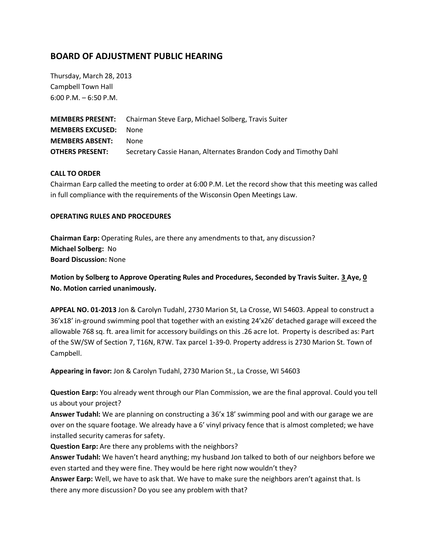# **BOARD OF ADJUSTMENT PUBLIC HEARING**

Thursday, March 28, 2013 Campbell Town Hall 6:00 P.M. – 6:50 P.M.

**MEMBERS PRESENT:** Chairman Steve Earp, Michael Solberg, Travis Suiter **MEMBERS EXCUSED:** None **MEMBERS ABSENT:** None **OTHERS PRESENT:** Secretary Cassie Hanan, Alternates Brandon Cody and Timothy Dahl

# **CALL TO ORDER**

Chairman Earp called the meeting to order at 6:00 P.M. Let the record show that this meeting was called in full compliance with the requirements of the Wisconsin Open Meetings Law.

#### **OPERATING RULES AND PROCEDURES**

**Chairman Earp:** Operating Rules, are there any amendments to that, any discussion? **Michael Solberg:** No **Board Discussion:** None

**Motion by Solberg to Approve Operating Rules and Procedures, Seconded by Travis Suiter. 3 Aye, 0 No. Motion carried unanimously.** 

**APPEAL NO. 01-2013** Jon & Carolyn Tudahl, 2730 Marion St, La Crosse, WI 54603. Appeal to construct a 36'x18' in-ground swimming pool that together with an existing 24'x26' detached garage will exceed the allowable 768 sq. ft. area limit for accessory buildings on this .26 acre lot. Property is described as: Part of the SW/SW of Section 7, T16N, R7W. Tax parcel 1-39-0. Property address is 2730 Marion St. Town of Campbell.

**Appearing in favor:** Jon & Carolyn Tudahl, 2730 Marion St., La Crosse, WI 54603

**Question Earp:** You already went through our Plan Commission, we are the final approval. Could you tell us about your project?

**Answer Tudahl:** We are planning on constructing a 36'x 18' swimming pool and with our garage we are over on the square footage. We already have a 6' vinyl privacy fence that is almost completed; we have installed security cameras for safety.

**Question Earp:** Are there any problems with the neighbors?

**Answer Tudahl:** We haven't heard anything; my husband Jon talked to both of our neighbors before we even started and they were fine. They would be here right now wouldn't they?

**Answer Earp:** Well, we have to ask that. We have to make sure the neighbors aren't against that. Is there any more discussion? Do you see any problem with that?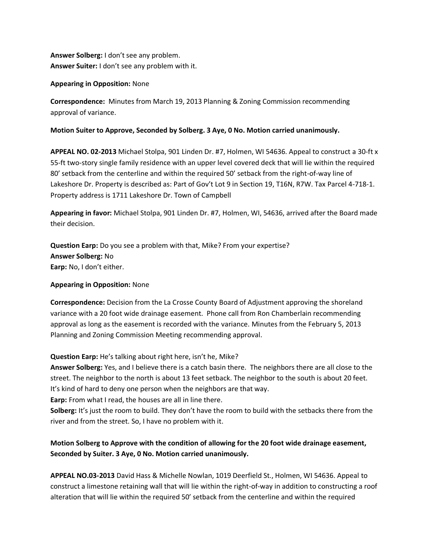**Answer Solberg:** I don't see any problem. **Answer Suiter:** I don't see any problem with it.

#### **Appearing in Opposition:** None

**Correspondence:** Minutes from March 19, 2013 Planning & Zoning Commission recommending approval of variance.

#### **Motion Suiter to Approve, Seconded by Solberg. 3 Aye, 0 No. Motion carried unanimously.**

**APPEAL NO. 02-2013** Michael Stolpa, 901 Linden Dr. #7, Holmen, WI 54636. Appeal to construct a 30-ft x 55-ft two-story single family residence with an upper level covered deck that will lie within the required 80' setback from the centerline and within the required 50' setback from the right-of-way line of Lakeshore Dr. Property is described as: Part of Gov't Lot 9 in Section 19, T16N, R7W. Tax Parcel 4-718-1. Property address is 1711 Lakeshore Dr. Town of Campbell

**Appearing in favor:** Michael Stolpa, 901 Linden Dr. #7, Holmen, WI, 54636, arrived after the Board made their decision.

**Question Earp:** Do you see a problem with that, Mike? From your expertise? **Answer Solberg:** No **Earp:** No, I don't either.

# **Appearing in Opposition:** None

**Correspondence:** Decision from the La Crosse County Board of Adjustment approving the shoreland variance with a 20 foot wide drainage easement. Phone call from Ron Chamberlain recommending approval as long as the easement is recorded with the variance. Minutes from the February 5, 2013 Planning and Zoning Commission Meeting recommending approval.

**Question Earp:** He's talking about right here, isn't he, Mike?

**Answer Solberg:** Yes, and I believe there is a catch basin there. The neighbors there are all close to the street. The neighbor to the north is about 13 feet setback. The neighbor to the south is about 20 feet. It's kind of hard to deny one person when the neighbors are that way.

**Earp:** From what I read, the houses are all in line there.

**Solberg:** It's just the room to build. They don't have the room to build with the setbacks there from the river and from the street. So, I have no problem with it.

# **Motion Solberg to Approve with the condition of allowing for the 20 foot wide drainage easement, Seconded by Suiter. 3 Aye, 0 No. Motion carried unanimously.**

**APPEAL NO.03-2013** David Hass & Michelle Nowlan, 1019 Deerfield St., Holmen, WI 54636. Appeal to construct a limestone retaining wall that will lie within the right-of-way in addition to constructing a roof alteration that will lie within the required 50' setback from the centerline and within the required